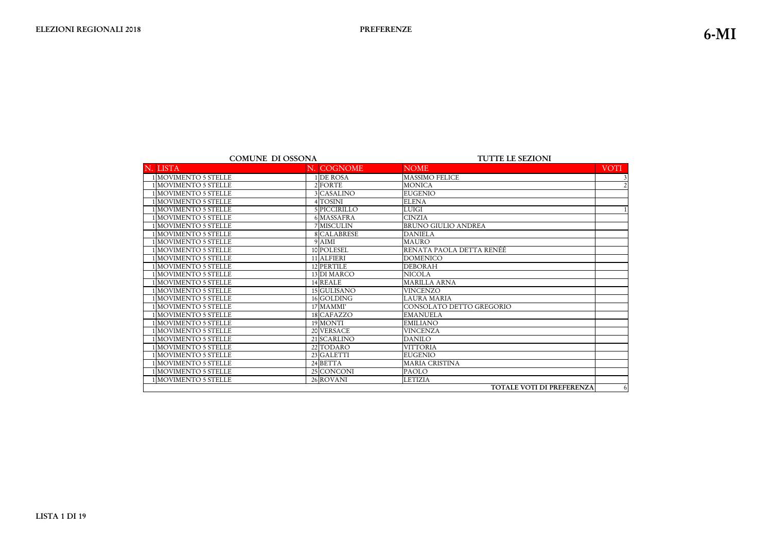|                            | <b>COMUNE DI OSSONA</b> | <b>TUTTE LE SEZIONI</b>                                                                                  |      |  |
|----------------------------|-------------------------|----------------------------------------------------------------------------------------------------------|------|--|
| N. LISTA                   | N. COGNOME              | <b>NOME</b>                                                                                              | VOTI |  |
| 1 MOVIMENTO 5 STELLE       | 1 DE ROSA               | <b>MASSIMO FELICE</b>                                                                                    |      |  |
| MOVIMENTO 5 STELLE         | 2 FORTE                 | <b>MONICA</b>                                                                                            |      |  |
| 1 MOVIMENTO 5 STELLE       | 3 CASALINO              | <b>EUGENIO</b>                                                                                           |      |  |
| MOVIMENTO 5 STELLE         | 4 TOSINI                | <b>ELENA</b>                                                                                             |      |  |
| <b>MOVIMENTO 5 STELLE</b>  | 5 PICCIRILLO            | <b>LUIGI</b>                                                                                             |      |  |
| MOVIMENTO 5 STELLE         | 6 MASSAFRA              | <b>CINZIA</b>                                                                                            |      |  |
| MOVIMENTO 5 STELLE         | 7 MISCULIN              | <b>BRUNO GIULIO ANDREA</b>                                                                               |      |  |
| 1 MOVIMENTO 5 STELLE       | 8 CALABRESE             | <b>DANIELA</b>                                                                                           |      |  |
| MOVIMENTO 5 STELLE         | 9 AIMI                  | <b>MAURO</b>                                                                                             |      |  |
| MOVIMENTO 5 STELLE         | 10 POLESEL              | RENATA PAOLA DETTA RENÉÉ                                                                                 |      |  |
| MOVIMENTO 5 STELLE         | 11 ALFIERI              | <b>DOMENICO</b>                                                                                          |      |  |
| MOVIMENTO 5 STELLE         | 12 PERTILE              | <b>DEBORAH</b>                                                                                           |      |  |
| MOVIMENTO 5 STELLE         | 13 DI MARCO             | <b>NICOLA</b>                                                                                            |      |  |
| MOVIMENTO 5 STELLE         | 14 REALE                | <b>MARILLA ARNA</b>                                                                                      |      |  |
| MOVIMENTO 5 STELLE         | 15 GULISANO             | <b>VINCENZO</b>                                                                                          |      |  |
| MOVIMENTO 5 STELLE         | 16 GOLDING              | <b>LAURA MARIA</b>                                                                                       |      |  |
| MOVIMENTO 5 STELLE         | 17 MAMMI'               | CONSOLATO DETTO GREGORIO                                                                                 |      |  |
| <b>IMOVIMENTO 5 STELLE</b> | 18 CAFAZZO              | <b>EMANUELA</b>                                                                                          |      |  |
| MOVIMENTO 5 STELLE         | 19 MONTI                | <b>EMILIANO</b>                                                                                          |      |  |
| MOVIMENTO 5 STELLE         | 20 VERSACE              | <b>VINCENZA</b>                                                                                          |      |  |
| MOVIMENTO 5 STELLE         | 21 SCARLINO             | <b>DANILO</b>                                                                                            |      |  |
| MOVIMENTO 5 STELLE         | 22 TODARO               | <b>VITTORIA</b>                                                                                          |      |  |
| MOVIMENTO 5 STELLE         | 23 GALETTI              | <b>EUGENIO</b>                                                                                           |      |  |
| 1MOVIMENTO 5 STELLE        | 24 BETTA                | <b>MARIA CRISTINA</b>                                                                                    |      |  |
| MOVIMENTO 5 STELLE         | 25 CONCONI              | <b>PAOLO</b>                                                                                             |      |  |
| 1 MOVIMENTO 5 STELLE       | 26 ROVANI               | <b>LETIZIA</b>                                                                                           |      |  |
|                            |                         | $H\Omega H$ , i.e. i.e. $H$ , $\Omega$ , $\Omega$ , $\Omega$ , $\Omega$ , $\Omega$ , $\Omega$ , $\Omega$ |      |  |

TOTALE VOTI DI PREFERENZA

|        | <b>VOTI</b>    |
|--------|----------------|
|        | $\frac{3}{2}$  |
|        |                |
|        |                |
|        |                |
|        | $\overline{1}$ |
|        |                |
|        |                |
|        |                |
|        |                |
|        |                |
|        |                |
|        |                |
|        |                |
|        |                |
|        |                |
|        |                |
|        |                |
|        |                |
|        |                |
|        |                |
|        |                |
|        |                |
|        |                |
|        |                |
|        |                |
|        |                |
| ERENZA | 6              |
|        |                |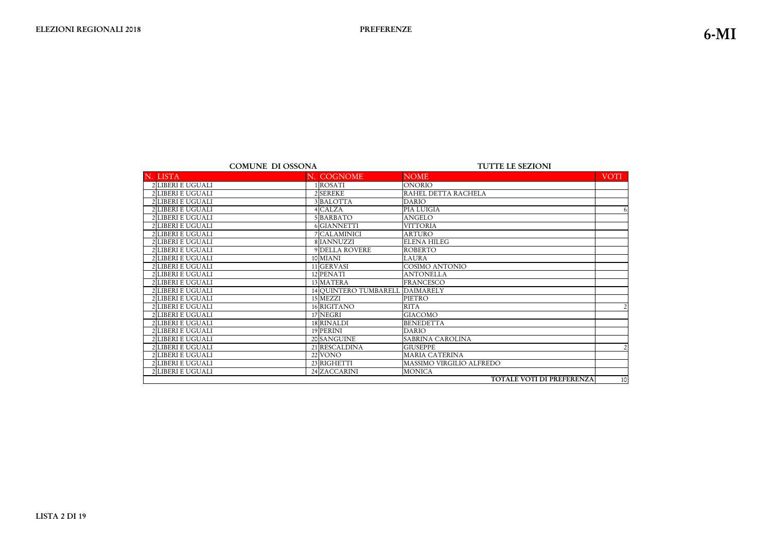#### **TUTTE LE SEZIONI**

| <b>LISTA</b>             | N. COGNOME                      | <b>NOME</b>                      | <b>VOTI</b>    |
|--------------------------|---------------------------------|----------------------------------|----------------|
| 2 LIBERI E UGUALI        | 1 ROSATI                        | <b>ONORIO</b>                    |                |
| 2 LIBERI E UGUALI        | 2 SEREKE                        | RAHEL DETTA RACHELA              |                |
| 2 LIBERI E UGUALI        | 3 BALOTTA                       | <b>DARIO</b>                     |                |
| 2 LIBERI E UGUALI        | 4 CALZA                         | PIA LUIGIA                       | 6              |
| 2 LIBERI E UGUALI        | 5 BARBATO                       | <b>ANGELO</b>                    |                |
| 2 LIBERI E UGUALI        | 6 GIANNETTI                     | <b>VITTORIA</b>                  |                |
| <b>2 LIBERI E UGUALI</b> | 7 CALAMINICI                    | <b>ARTURO</b>                    |                |
| 2 LIBERI E UGUALI        | 8 IANNUZZI                      | <b>ELENA HILEG</b>               |                |
| 2 LIBERI E UGUALI        | <b>9 DELLA ROVERE</b>           | <b>ROBERTO</b>                   |                |
| 2 LIBERI E UGUALI        | 10 MIANI                        | <b>LAURA</b>                     |                |
| 2 LIBERI E UGUALI        | 11 GERVASI                      | <b>COSIMO ANTONIO</b>            |                |
| 2 LIBERI E UGUALI        | 12 PENATI                       | <b>ANTONELLA</b>                 |                |
| 2 LIBERI E UGUALI        | 13 MATERA                       | <b>FRANCESCO</b>                 |                |
| 2 LIBERI E UGUALI        | 14 QUINTERO TUMBARELL DAIMARELY |                                  |                |
| 2 LIBERI E UGUALI        | 15 MEZZI                        | PIETRO                           |                |
| 2 LIBERI E UGUALI        | 16 RIGITANO                     | <b>RITA</b>                      | $\overline{2}$ |
| 2 LIBERI E UGUALI        | 17 NEGRI                        | <b>GIACOMO</b>                   |                |
| 2 LIBERI E UGUALI        | 18 RINALDI                      | <b>BENEDETTA</b>                 |                |
| 2 LIBERI E UGUALI        | 19 PERINI                       | <b>DARIO</b>                     |                |
| 2 LIBERI E UGUALI        | 20 SANGUINE                     | SABRINA CAROLINA                 |                |
| 2 LIBERI E UGUALI        | 21 RESCALDINA                   | <b>GIUSEPPE</b>                  | $\overline{2}$ |
| 2 LIBERI E UGUALI        | 22 VONO                         | <b>MARIA CATERINA</b>            |                |
| 2 LIBERI E UGUALI        | 23 RIGHETTI                     | MASSIMO VIRGILIO ALFREDO         |                |
| 2 LIBERI E UGUALI        | 24 ZACCARINI                    | <b>MONICA</b>                    |                |
|                          |                                 | <b>TOTALE VOTI DI PREFERENZA</b> | 10             |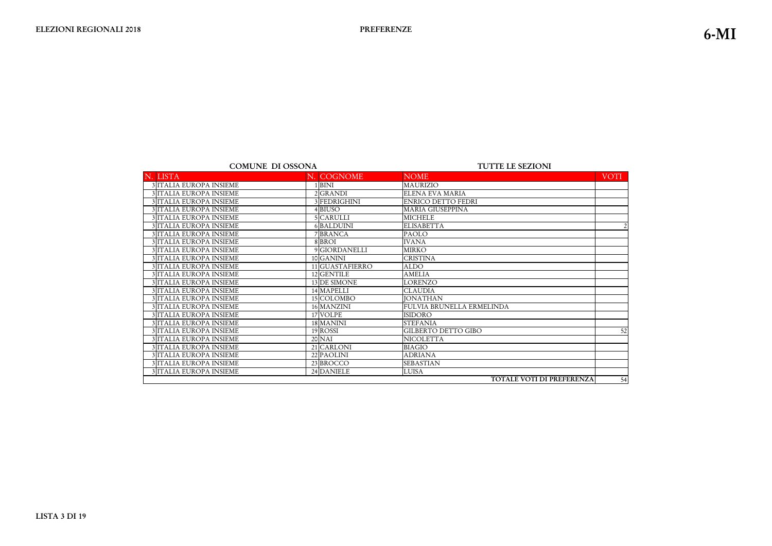| <b>COMUNE DI OSSONA</b>                                                  | <b>TUTTE LE SEZIONI</b>                |  |  |
|--------------------------------------------------------------------------|----------------------------------------|--|--|
| N. COGNOME<br><b>NOME</b><br><b>LISTA</b>                                | <b>VOTI</b>                            |  |  |
| 3 ITALIA EUROPA INSIEME<br><b>BINI</b><br><b>MAURIZIO</b>                |                                        |  |  |
| <b>ELENA EVA MARIA</b><br><b>3 ITALIA EUROPA INSIEME</b><br>2GRANDI      |                                        |  |  |
| 3 ITALIA EUROPA INSIEME<br>3 FEDRIGHINI<br><b>ENRICO DETTO FEDRI</b>     |                                        |  |  |
| 3 ITALIA EUROPA INSIEME<br><b>MARIA GIUSEPPINA</b><br>4BIUSO             |                                        |  |  |
| 3 ITALIA EUROPA INSIEME<br>5 CARULLI<br><b>MICHELE</b>                   |                                        |  |  |
| <b>3 ITALIA EUROPA INSIEME</b><br><b>ELISABETTA</b><br><b>6 BALDUINI</b> | $\overline{2}$                         |  |  |
| 3 ITALIA EUROPA INSIEME<br>7 BRANCA<br><b>PAOLO</b>                      |                                        |  |  |
| 3 ITALIA EUROPA INSIEME<br>8 BROI<br><b>IVANA</b>                        |                                        |  |  |
| 9 GIORDANELLI<br>3 ITALIA EUROPA INSIEME<br><b>MIRKO</b>                 |                                        |  |  |
| 3 ITALIA EUROPA INSIEME<br>10 GANINI<br><b>CRISTINA</b>                  |                                        |  |  |
| 3 ITALIA EUROPA INSIEME<br>11 GUASTAFIERRO<br><b>ALDO</b>                |                                        |  |  |
| 3 ITALIA EUROPA INSIEME<br>12 GENTILE<br><b>AMELIA</b>                   |                                        |  |  |
| 3 ITALIA EUROPA INSIEME<br>13 DE SIMONE<br><b>LORENZO</b>                |                                        |  |  |
| 3 ITALIA EUROPA INSIEME<br>14 MAPELLI<br><b>CLAUDIA</b>                  |                                        |  |  |
| 3 ITALIA EUROPA INSIEME<br>15 COLOMBO<br><b>JONATHAN</b>                 |                                        |  |  |
| 16 MANZINI<br>3 ITALIA EUROPA INSIEME                                    | FULVIA BRUNELLA ERMELINDA              |  |  |
| 3 ITALIA EUROPA INSIEME<br>17 VOLPE<br><b>ISIDORO</b>                    |                                        |  |  |
| 3 ITALIA EUROPA INSIEME<br><b>18 MANINI</b><br><b>STEFANIA</b>           |                                        |  |  |
| 3 ITALIA EUROPA INSIEME<br>19 ROSSI<br>GILBERTO DETTO GIBO               | 52                                     |  |  |
| 3 ITALIA EUROPA INSIEME<br><b>NICOLETTA</b><br><b>20 NAI</b>             |                                        |  |  |
| 21 CARLONI<br>3 ITALIA EUROPA INSIEME<br><b>BIAGIO</b>                   |                                        |  |  |
| 3 ITALIA EUROPA INSIEME<br>22 PAOLINI<br><b>ADRIANA</b>                  |                                        |  |  |
| 23 BROCCO<br><b>SEBASTIAN</b><br>3 ITALIA EUROPA INSIEME                 |                                        |  |  |
| 3 ITALIA EUROPA INSIEME<br>24 DANIELE<br><b>LUISA</b>                    |                                        |  |  |
|                                                                          | <b>TOTALE VOTI DI PREFERENZA</b><br>54 |  |  |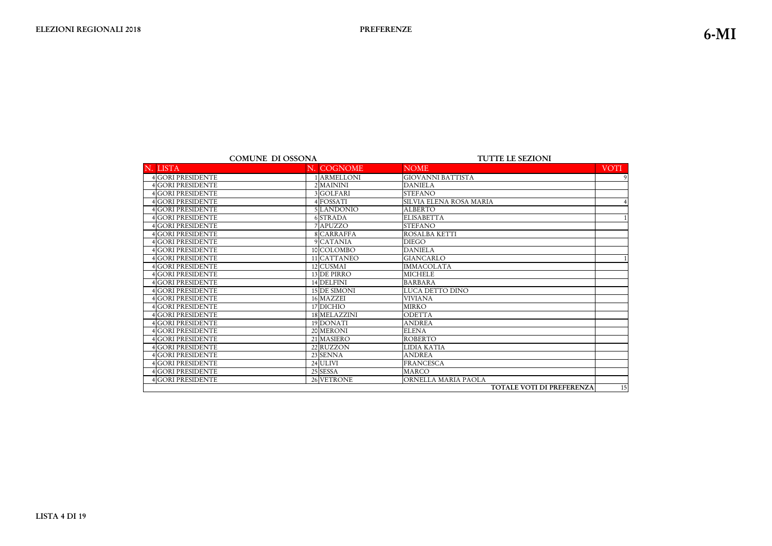|                          | <b>COMUNE DI OSSONA</b> |                        |                                | <b>TUTTE LE SEZIONI</b>          |             |
|--------------------------|-------------------------|------------------------|--------------------------------|----------------------------------|-------------|
| <b>LISTA</b>             |                         | N. COGNOME             | <b>NOME</b>                    |                                  | <b>VOTI</b> |
| 4 GORI PRESIDENTE        |                         | ARMELLONI              | <b>GIOVANNI BATTISTA</b>       |                                  | 9           |
| 4 GORI PRESIDENTE        |                         | 2 MAININI              | <b>DANIELA</b>                 |                                  |             |
| <b>4 GORI PRESIDENTE</b> |                         | 3GOLFARI               | <b>STEFANO</b>                 |                                  |             |
| 4 GORI PRESIDENTE        |                         | 4 FOSSATI              | <b>SILVIA ELENA ROSA MARIA</b> |                                  | 4           |
| <b>4GORI PRESIDENTE</b>  |                         | 5LANDONIO              | <b>ALBERTO</b>                 |                                  |             |
| <b>4GORI PRESIDENTE</b>  |                         | 6 STRADA               | <b>ELISABETTA</b>              |                                  |             |
| <b>4GORI PRESIDENTE</b>  |                         | 7 APUZZO               | <b>STEFANO</b>                 |                                  |             |
| <b>4GORI PRESIDENTE</b>  |                         | 8 CARRAFFA             | ROSALBA KETTI                  |                                  |             |
| 4GORI PRESIDENTE         |                         | 9 CATANIA              | <b>DIEGO</b>                   |                                  |             |
| <b>4GORI PRESIDENTE</b>  |                         | 10 COLOMBO             | <b>DANIELA</b>                 |                                  |             |
| 4GORI PRESIDENTE         |                         | 11 CATTANEO            | <b>GIANCARLO</b>               |                                  |             |
| <b>4 GORI PRESIDENTE</b> |                         | 12 CUSMAI              | <b>IMMACOLATA</b>              |                                  |             |
| 4 GORI PRESIDENTE        |                         | 13 DE PIRRO            | <b>MICHELE</b>                 |                                  |             |
| <b>4GORI PRESIDENTE</b>  |                         | 14 DELFINI             | <b>BARBARA</b>                 |                                  |             |
| <b>4GORI PRESIDENTE</b>  |                         | 15 DE SIMONI           | LUCA DETTO DINO                |                                  |             |
| <b>4 GORI PRESIDENTE</b> |                         | 16 MAZZEI              | <b>VIVIANA</b>                 |                                  |             |
| 4GORI PRESIDENTE         |                         | 17 DICHIO              | <b>MIRKO</b>                   |                                  |             |
| <b>4GORI PRESIDENTE</b>  |                         | 18 MELAZZINI           | ODETTA                         |                                  |             |
| 4GORI PRESIDENTE         |                         | 19 DONATI              | <b>ANDREA</b>                  |                                  |             |
| <b>4</b> GORI PRESIDENTE |                         | 20 MERONI              | <b>ELENA</b>                   |                                  |             |
| 4GORI PRESIDENTE         |                         | 21 MASIERO             | <b>ROBERTO</b>                 |                                  |             |
| <b>4GORI PRESIDENTE</b>  |                         | $\overline{22}$ RUZZON | <b>LIDIA KATIA</b>             |                                  |             |
| <b>4GORI PRESIDENTE</b>  |                         | 23 SENNA               | <b>ANDREA</b>                  |                                  |             |
| <b>4GORI PRESIDENTE</b>  |                         | 24 ULIVI               | <b>FRANCESCA</b>               |                                  |             |
| <b>4GORI PRESIDENTE</b>  |                         | 25 SESSA               | <b>MARCO</b>                   |                                  |             |
| 4 GORI PRESIDENTE        |                         | 26 VETRONE             | ORNELLA MARIA PAOLA            |                                  |             |
|                          |                         |                        |                                | <b>TOTALE VOTI DI PREFERENZA</b> | 15          |
|                          |                         |                        |                                |                                  |             |

**-ISTA 4 DI 19**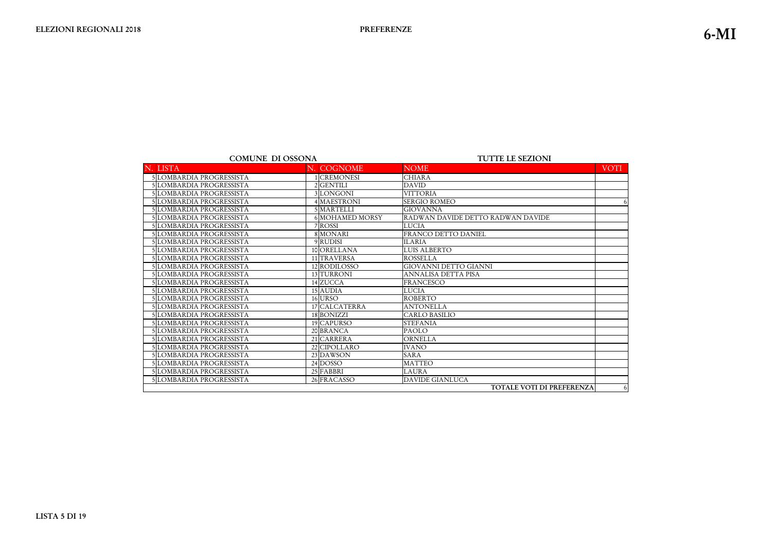| <b>COMUNE DI OSSONA</b>  |                        | <b>TUTTE LE SEZIONI</b>           |                |
|--------------------------|------------------------|-----------------------------------|----------------|
| N. LISTA                 | N. COGNOME             | <b>NOME</b>                       | <b>VOTI</b>    |
| 5 LOMBARDIA PROGRESSISTA | 1 CREMONESI            | <b>CHIARA</b>                     |                |
| 5 LOMBARDIA PROGRESSISTA | 2 GENTILI              | <b>DAVID</b>                      |                |
| 5LOMBARDIA PROGRESSISTA  | 3LONGONI               | <b>VITTORIA</b>                   |                |
| 5 LOMBARDIA PROGRESSISTA | 4 MAESTRONI            | <b>SERGIO ROMEO</b>               | 6              |
| 5 LOMBARDIA PROGRESSISTA | 5 MARTELLI             | <b>GIOVANNA</b>                   |                |
| 5 LOMBARDIA PROGRESSISTA | <b>6 MOHAMED MORSY</b> | RADWAN DAVIDE DETTO RADWAN DAVIDE |                |
| 5 LOMBARDIA PROGRESSISTA | 7 ROSSI                | <b>LUCIA</b>                      |                |
| 5 LOMBARDIA PROGRESSISTA | 8 MONARI               | <b>FRANCO DETTO DANIEL</b>        |                |
| 5 LOMBARDIA PROGRESSISTA | 9RUDISI                | <b>ILARIA</b>                     |                |
| 5 LOMBARDIA PROGRESSISTA | 10 ORELLANA            | <b>LUIS ALBERTO</b>               |                |
| 5 LOMBARDIA PROGRESSISTA | 11 TRAVERSA            | <b>ROSSELLA</b>                   |                |
| 5LOMBARDIA PROGRESSISTA  | 12 RODILOSSO           | <b>GIOVANNI DETTO GIANNI</b>      |                |
| 5 LOMBARDIA PROGRESSISTA | 13 TURRONI             | <b>ANNALISA DETTA PISA</b>        |                |
| 5 LOMBARDIA PROGRESSISTA | 14 ZUCCA               | <b>FRANCESCO</b>                  |                |
| 5 LOMBARDIA PROGRESSISTA | 15 AUDIA               | <b>LUCIA</b>                      |                |
| 5LOMBARDIA PROGRESSISTA  | 16 URSO                | <b>ROBERTO</b>                    |                |
| 5 LOMBARDIA PROGRESSISTA | 17 CALCATERRA          | <b>ANTONELLA</b>                  |                |
| 5 LOMBARDIA PROGRESSISTA | 18 BONIZZI             | <b>CARLO BASILIO</b>              |                |
| 5 LOMBARDIA PROGRESSISTA | 19 CAPURSO             | <b>STEFANIA</b>                   |                |
| 5 LOMBARDIA PROGRESSISTA | 20 BRANCA              | <b>PAOLO</b>                      |                |
| 5 LOMBARDIA PROGRESSISTA | 21 CARRERA             | <b>ORNELLA</b>                    |                |
| 5 LOMBARDIA PROGRESSISTA | 22 CIPOLLARO           | <b>IVANO</b>                      |                |
| 5 LOMBARDIA PROGRESSISTA | 23 DAWSON              | <b>SARA</b>                       |                |
| 5 LOMBARDIA PROGRESSISTA | 24 DOSSO               | <b>MATTEO</b>                     |                |
| 5 LOMBARDIA PROGRESSISTA | 25 FABBRI              | <b>LAURA</b>                      |                |
| 5 LOMBARDIA PROGRESSISTA | 26 FRACASSO            | <b>DAVIDE GIANLUCA</b>            |                |
|                          |                        | <b>TOTALE VOTI DI PREFERENZA</b>  | 6 <sup>1</sup> |

**-ISTA 5 DI 19**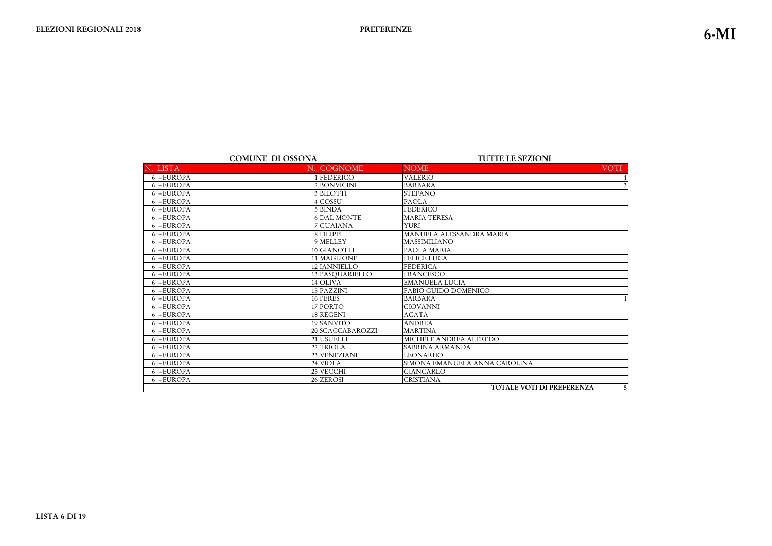|              | <b>COMUNE DI OSSONA</b> | <b>TUTTE LE SEZIONI</b>       |
|--------------|-------------------------|-------------------------------|
| N. LISTA     | N. COGNOME              | <b>NOME</b>                   |
| $6 + EUROPA$ | 1 FEDERICO              | <b>VALERIO</b>                |
| $6 + EUROPA$ | 2BONVICINI              | <b>BARBARA</b>                |
| $6 + EUROPA$ | 3BILOTTI                | <b>STEFANO</b>                |
| $6 + EUROPA$ | 4 COSSU                 | <b>PAOLA</b>                  |
| $6 + EUROPA$ | 5 BINDA                 | <b>FEDERICO</b>               |
| $6 + EUROPA$ | <b>6 DAL MONTE</b>      | <b>MARIA TERESA</b>           |
| $6 + EUROPA$ | 7 GUAIANA               | <b>YURI</b>                   |
| $6 + EUROPA$ | 8 FILIPPI               | MANUELA ALESSANDRA MARIA      |
| $6 + EUROPA$ | 9 MELLEY                | MASSIMILIANO                  |
| $6 + EUROPA$ | 10 GIANOTTI             | PAOLA MARIA                   |
| $6 + EUROPA$ | 11 MAGLIONE             | <b>FELICE LUCA</b>            |
| $6 + EUROPA$ | 12 IANNIELLO            | <b>FEDERICA</b>               |
| $6 + EUROPA$ | 13 PASQUARIELLO         | <b>FRANCESCO</b>              |
| $6 + EUROPA$ | 14 OLIVA                | <b>EMANUELA LUCIA</b>         |
| $6 + EUROPA$ | 15 PAZZINI              | <b>FABIO GUIDO DOMENICO</b>   |
| $6 + EUROPA$ | 16 PERES                | <b>BARBARA</b>                |
| $6 + EUROPA$ | 17 PORTO                | <b>GIOVANNI</b>               |
| $6 + EUROPA$ | 18 REGENI               | <b>AGATA</b>                  |
| $6 + EUROPA$ | 19 SANVITO              | <b>ANDREA</b>                 |
| $6 + EUROPA$ | 20 SCACCABAROZZI        | <b>MARTINA</b>                |
| $6 + EUROPA$ | 21 USUELLI              | MICHELE ANDREA ALFREDO        |
| $6 + EUROPA$ | 22 TRIOLA               | <b>SABRINA ARMANDA</b>        |
| $6 + EUROPA$ | 23 VENEZIANI            | <b>LEONARDO</b>               |
| $6 + EUROPA$ | 24 VIOLA                | SIMONA EMANUELA ANNA CAROLINA |
| $6 + EUROPA$ | 25 VECCHI               | <b>GIANCARLO</b>              |
| $6 + EUROPA$ | 26 ZEROSI               | <b>CRISTIANA</b>              |

TOTALE VOTI DI PREFEREN.

|             | <b>VOTI</b>               |
|-------------|---------------------------|
|             | $\overline{1}$            |
|             | $\overline{\overline{3}}$ |
|             |                           |
|             |                           |
|             |                           |
|             |                           |
|             |                           |
|             |                           |
|             |                           |
|             |                           |
|             |                           |
|             |                           |
|             |                           |
|             |                           |
|             |                           |
|             | $\mathbf 1$               |
|             |                           |
|             |                           |
|             |                           |
|             |                           |
|             |                           |
|             |                           |
|             |                           |
|             |                           |
|             |                           |
|             |                           |
| <b>ENZA</b> | 5                         |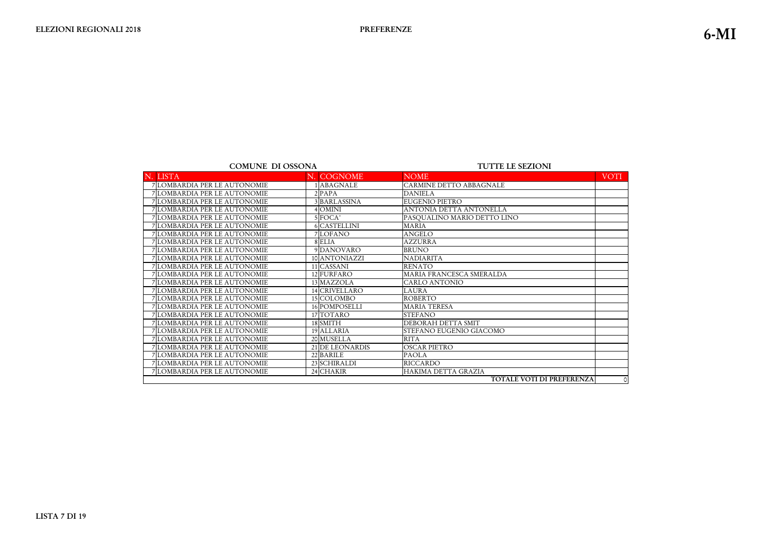#### **TUTTE LE SEZIONI**

| N. LISTA                            | N. COGNOME      | <b>NOME</b>                 | <b>VOTI</b> |
|-------------------------------------|-----------------|-----------------------------|-------------|
| 7 LOMBARDIA PER LE AUTONOMIE        | <b>ABAGNALE</b> | CARMINE DETTO ABBAGNALE     |             |
| <b>7 LOMBARDIA PER LE AUTONOMIE</b> | $2$ PAPA        | <b>DANIELA</b>              |             |
| 7 LOMBARDIA PER LE AUTONOMIE        | 3 BARLASSINA    | <b>EUGENIO PIETRO</b>       |             |
| 7 LOMBARDIA PER LE AUTONOMIE        | <b>OMINI</b>    | ANTONIA DETTA ANTONELLA     |             |
| 7 LOMBARDIA PER LE AUTONOMIE        | 5 FOCA'         | PASQUALINO MARIO DETTO LINO |             |
| 7 LOMBARDIA PER LE AUTONOMIE        | 6 CASTELLINI    | <b>MARIA</b>                |             |
| 7 LOMBARDIA PER LE AUTONOMIE        | 7 LOFANO        | <b>ANGELO</b>               |             |
| 7 LOMBARDIA PER LE AUTONOMIE        | 8 ELIA          | <b>AZZURRA</b>              |             |
| 7 LOMBARDIA PER LE AUTONOMIE        | 9 DANOVARO      | <b>BRUNO</b>                |             |
| 7 LOMBARDIA PER LE AUTONOMIE        | 10 ANTONIAZZI   | <b>NADIARITA</b>            |             |
| 7 LOMBARDIA PER LE AUTONOMIE        | 11 CASSANI      | <b>RENATO</b>               |             |
| 7 LOMBARDIA PER LE AUTONOMIE        | 12 FURFARO      | MARIA FRANCESCA SMERALDA    |             |
| 7 LOMBARDIA PER LE AUTONOMIE        | 13 MAZZOLA      | <b>CARLO ANTONIO</b>        |             |
| 7 LOMBARDIA PER LE AUTONOMIE        | 14 CRIVELLARO   | LAURA                       |             |
| 7 LOMBARDIA PER LE AUTONOMIE        | 15 COLOMBO      | <b>ROBERTO</b>              |             |
| 7 LOMBARDIA PER LE AUTONOMIE        | 16 POMPOSELLI   | <b>MARIA TERESA</b>         |             |
| 7 LOMBARDIA PER LE AUTONOMIE        | 17 TOTARO       | <b>STEFANO</b>              |             |
| 7 LOMBARDIA PER LE AUTONOMIE        | 18 SMITH        | DEBORAH DETTA SMIT          |             |
| 7 LOMBARDIA PER LE AUTONOMIE        | 19 ALLARIA      | STEFANO EUGENIO GIACOMO     |             |
| 7 LOMBARDIA PER LE AUTONOMIE        | 20 MUSELLA      | <b>RITA</b>                 |             |
| 7 LOMBARDIA PER LE AUTONOMIE        | 21 DE LEONARDIS | <b>OSCAR PIETRO</b>         |             |
| 7 LOMBARDIA PER LE AUTONOMIE        | 22 BARILE       | <b>PAOLA</b>                |             |
| 7 LOMBARDIA PER LE AUTONOMIE        | 23 SCHIRALDI    | <b>RICCARDO</b>             |             |
| 7 LOMBARDIA PER LE AUTONOMIE        | 24 CHAKIR       | HAKIMA DETTA GRAZIA         |             |
|                                     |                 | TOTALE VOTI DI PREFERENZA   | $\circ$     |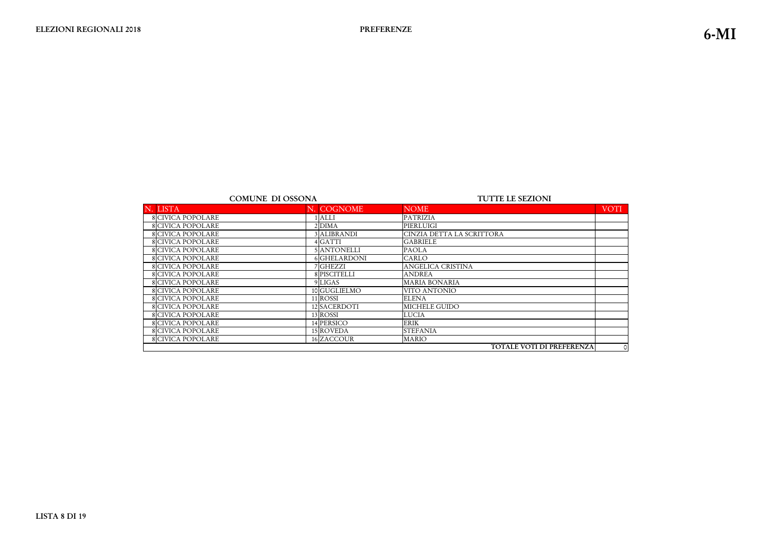|                          | <b>COMUNE DI OSSONA</b> |                     | <b>TUTTE LE SEZIONI</b>   |             |
|--------------------------|-------------------------|---------------------|---------------------------|-------------|
| N. LISTA                 |                         | N. COGNOME          | <b>NOME</b>               | <b>VOTI</b> |
| <b>8 CIVICA POPOLARE</b> |                         | <b>ALLI</b>         | <b>PATRIZIA</b>           |             |
| <b>8 CIVICA POPOLARE</b> |                         | $2$ DIMA            | PIERLUIGI                 |             |
| <b>8 CIVICA POPOLARE</b> |                         | 3 ALIBRANDI         | CINZIA DETTA LA SCRITTORA |             |
| <b>8 CIVICA POPOLARE</b> |                         | 4 GATTI             | <b>GABRIELE</b>           |             |
| <b>8 CIVICA POPOLARE</b> |                         | 5 ANTONELLI         | <b>PAOLA</b>              |             |
| 8 CIVICA POPOLARE        |                         | <b>6 GHELARDONI</b> | CARLO                     |             |
| <b>8</b> CIVICA POPOLARE |                         | 7 GHEZZI            | ANGELICA CRISTINA         |             |
| <b>8 CIVICA POPOLARE</b> |                         | 8 PISCITELLI        | <b>ANDREA</b>             |             |
| <b>8 CIVICA POPOLARE</b> |                         | 9 LIGAS             | <b>MARIA BONARIA</b>      |             |
| <b>8 CIVICA POPOLARE</b> |                         | 10 GUGLIELMO        | VITO ANTONIO              |             |
| <b>8 CIVICA POPOLARE</b> |                         | 11 ROSSI            | <b>ELENA</b>              |             |
| 8 CIVICA POPOLARE        |                         | 12 SACERDOTI        | MICHELE GUIDO             |             |
| <b>8</b> CIVICA POPOLARE |                         | 13 ROSSI            | <b>LUCIA</b>              |             |
| <b>8</b> CIVICA POPOLARE |                         | 14 PERSICO          | <b>ERIK</b>               |             |
| <b>8</b> CIVICA POPOLARE |                         | 15 ROVEDA           | <b>STEFANIA</b>           |             |
| <b>8</b> CIVICA POPOLARE |                         | 16 ZACCOUR          | <b>MARIO</b>              |             |
|                          |                         |                     | TOTALE VOTI DI PREFERENZA | $\circ$     |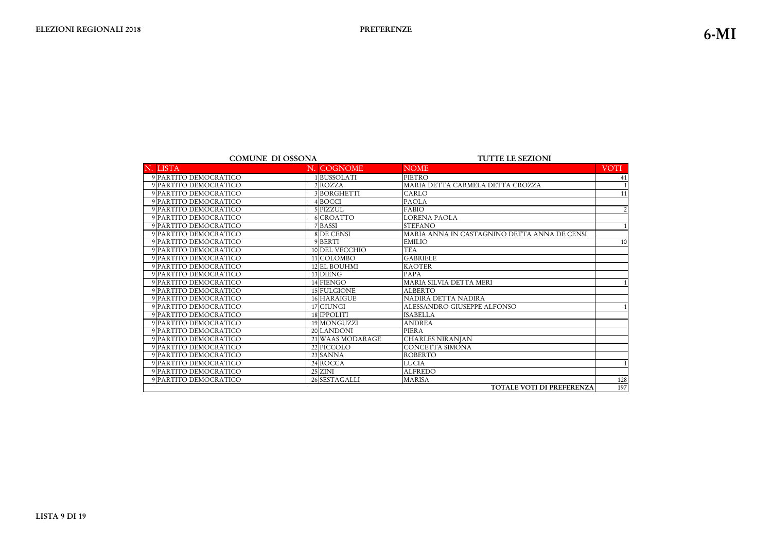|                       | <b>COMUNE DI OSSONA</b> | <b>TUTTE LE SEZIONI</b>                      |                |  |
|-----------------------|-------------------------|----------------------------------------------|----------------|--|
| N. LISTA              | N. COGNOME              | <b>NOME</b>                                  | VOTI           |  |
| 9 PARTITO DEMOCRATICO | 1BUSSOLATI              | PIETRO                                       | -41            |  |
| 9 PARTITO DEMOCRATICO | 2ROZZA                  | MARIA DETTA CARMELA DETTA CROZZA             |                |  |
| 9 PARTITO DEMOCRATICO | 3BORGHETTI              | CARLO                                        | 11             |  |
| 9 PARTITO DEMOCRATICO | 4BOCCI                  | <b>PAOLA</b>                                 |                |  |
| 9 PARTITO DEMOCRATICO | 5 PIZZUL                | <b>FABIO</b>                                 | $\overline{2}$ |  |
| 9 PARTITO DEMOCRATICO | 6 CROATTO               | <b>LORENA PAOLA</b>                          |                |  |
| 9 PARTITO DEMOCRATICO | 7 BASSI                 | <b>STEFANO</b>                               |                |  |
| 9 PARTITO DEMOCRATICO | 8 DE CENSI              | MARIA ANNA IN CASTAGNINO DETTA ANNA DE CENSI |                |  |
| 9 PARTITO DEMOCRATICO | 9BERTI                  | <b>EMILIO</b>                                | 10             |  |
| 9 PARTITO DEMOCRATICO | 10 DEL VECCHIO          | <b>TEA</b>                                   |                |  |
| 9 PARTITO DEMOCRATICO | 11 COLOMBO              | <b>GABRIELE</b>                              |                |  |
| 9 PARTITO DEMOCRATICO | 12 EL BOUHMI            | <b>KAOTER</b>                                |                |  |
| 9 PARTITO DEMOCRATICO | 13 DIENG                | <b>PAPA</b>                                  |                |  |
| 9 PARTITO DEMOCRATICO | 14 FIENGO               | MARIA SILVIA DETTA MERI                      |                |  |
| 9 PARTITO DEMOCRATICO | 15 FULGIONE             | <b>ALBERTO</b>                               |                |  |
| 9 PARTITO DEMOCRATICO | 16 HARAIGUE             | NADIRA DETTA NADIRA                          |                |  |
| 9 PARTITO DEMOCRATICO | $17$ GIUNGI             | ALESSANDRO GIUSEPPE ALFONSO                  |                |  |
| 9 PARTITO DEMOCRATICO | 18 IPPOLITI             | <b>ISABELLA</b>                              |                |  |
| 9 PARTITO DEMOCRATICO | 19 MONGUZZI             | <b>ANDREA</b>                                |                |  |
| 9 PARTITO DEMOCRATICO | 20 LANDONI              | <b>PIERA</b>                                 |                |  |
| 9 PARTITO DEMOCRATICO | 21 WAAS MODARAGE        | <b>CHARLES NIRANJAN</b>                      |                |  |
| 9 PARTITO DEMOCRATICO | 22 PICCOLO              | <b>CONCETTA SIMONA</b>                       |                |  |
| 9 PARTITO DEMOCRATICO | 23 SANNA                | <b>ROBERTO</b>                               |                |  |
| 9 PARTITO DEMOCRATICO | 24 ROCCA                | <b>LUCIA</b>                                 |                |  |
| 9 PARTITO DEMOCRATICO | $25$ ZINI               | <b>ALFREDO</b>                               |                |  |
| 9 PARTITO DEMOCRATICO | 26 SESTAGALLI           | <b>MARISA</b>                                | 128            |  |
|                       |                         | <b>TOTALE VOTI DI PREFERENZA</b>             | 197            |  |

|                       | <b>VOTI</b>     |
|-----------------------|-----------------|
|                       | $\overline{41}$ |
|                       | $\mathbf{1}$    |
|                       | $\overline{11}$ |
|                       |                 |
|                       | $\overline{2}$  |
|                       |                 |
|                       | $\mathbf 1$     |
| $\overline{\text{M}}$ |                 |
|                       | 10              |
|                       |                 |
|                       |                 |
|                       |                 |
|                       |                 |
|                       | $\mathbf{1}$    |
|                       |                 |
|                       |                 |
|                       | $\overline{1}$  |
|                       |                 |
|                       |                 |
|                       |                 |
|                       |                 |
|                       |                 |
|                       |                 |
|                       | $\overline{1}$  |
|                       |                 |
|                       | $\frac{1}{28}$  |
| IZA                   | 197             |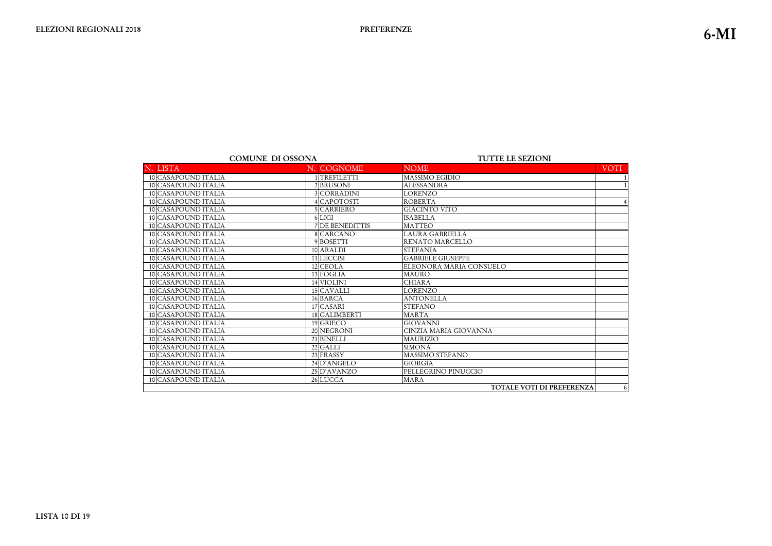| <b>COMUNE DI OSSONA</b> |                     | <b>TUTTE LE SEZIONI</b> |                                  |                |
|-------------------------|---------------------|-------------------------|----------------------------------|----------------|
|                         | N. LISTA            | N. COGNOME              | <b>NOME</b>                      | <b>VOTI</b>    |
|                         | 10 CASAPOUND ITALIA | 1TREFILETTI             | <b>MASSIMO EGIDIO</b>            |                |
|                         | 10 CASAPOUND ITALIA | 2 BRUSONI               | <b>ALESSANDRA</b>                |                |
|                         | 10 CASAPOUND ITALIA | 3 CORRADINI             | <b>LORENZO</b>                   |                |
|                         | 10 CASAPOUND ITALIA | 4 CAPOTOSTI             | <b>ROBERTA</b>                   | $\overline{4}$ |
|                         | 10 CASAPOUND ITALIA | 5 CARRIERO              | <b>GIACINTO VITO</b>             |                |
|                         | 10 CASAPOUND ITALIA | 6 LIGI                  | <b>ISABELLA</b>                  |                |
|                         | 10 CASAPOUND ITALIA | 7 DE BENEDITTIS         | <b>MATTEO</b>                    |                |
|                         | 10 CASAPOUND ITALIA | 8 CARCANO               | <b>LAURA GABRIELLA</b>           |                |
|                         | 10 CASAPOUND ITALIA | 9BOSETTI                | RENATO MARCELLO                  |                |
|                         | 10 CASAPOUND ITALIA | 10 ARALDI               | <b>STEFANIA</b>                  |                |
|                         | 10 CASAPOUND ITALIA | 11 LECCISI              | <b>GABRIELE GIUSEPPE</b>         |                |
|                         | 10 CASAPOUND ITALIA | 12 CEOLA                | ELEONORA MARIA CONSUELO          |                |
|                         | 10 CASAPOUND ITALIA | 13 FOGLIA               | <b>MAURO</b>                     |                |
|                         | 10 CASAPOUND ITALIA | 14 VIOLINI              | <b>CHIARA</b>                    |                |
|                         | 10 CASAPOUND ITALIA | 15 CAVALLI              | <b>LORENZO</b>                   |                |
|                         | 10 CASAPOUND ITALIA | 16 BARCA                | <b>ANTONELLA</b>                 |                |
|                         | 10 CASAPOUND ITALIA | 17 CASARI               | <b>STEFANO</b>                   |                |
|                         | 10 CASAPOUND ITALIA | 18 GALIMBERTI           | <b>MARTA</b>                     |                |
|                         | 10 CASAPOUND ITALIA | 19 GRIECO               | <b>GIOVANNI</b>                  |                |
|                         | 10 CASAPOUND ITALIA | 20 NEGRONI              | CINZIA MARIA GIOVANNA            |                |
|                         | 10 CASAPOUND ITALIA | 21 BINELLI              | <b>MAURIZIO</b>                  |                |
|                         | 10 CASAPOUND ITALIA | 22 GALLI                | <b>SIMONA</b>                    |                |
|                         | 10 CASAPOUND ITALIA | 23 FRASSY               | <b>MASSIMO STEFANO</b>           |                |
|                         | 10 CASAPOUND ITALIA | 24 D'ANGELO             | <b>GIORGIA</b>                   |                |
|                         | 10 CASAPOUND ITALIA | 25 D'AVANZO             | PELLEGRINO PINUCCIO              |                |
|                         | 10 CASAPOUND ITALIA | 26 LUCCA                | <b>MARA</b>                      |                |
|                         |                     |                         | <b>TOTALE VOTI DI PREFERENZA</b> | 6              |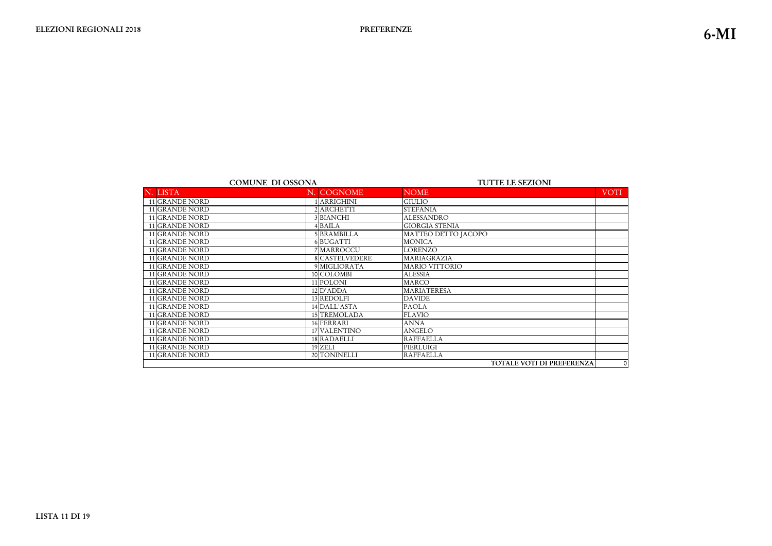| <b>COMUNE DI OSSONA</b> |                | <b>TUTTE LE SEZIONI</b>   |             |
|-------------------------|----------------|---------------------------|-------------|
| N. LISTA                | N. COGNOME     | <b>NOME</b>               | <b>VOTI</b> |
| 11 GRANDE NORD          | 1 ARRIGHINI    | <b>GIULIO</b>             |             |
| 11 GRANDE NORD          | 2 ARCHETTI     | <b>STEFANIA</b>           |             |
| 11 GRANDE NORD          | 3 BIANCHI      | <b>ALESSANDRO</b>         |             |
| 11 GRANDE NORD          | 4 BAILA        | <b>GIORGIA STENIA</b>     |             |
| 11 GRANDE NORD          | 5 BRAMBILLA    | MATTEO DETTO JACOPO       |             |
| 11 GRANDE NORD          | 6 BUGATTI      | <b>MONICA</b>             |             |
| 11 GRANDE NORD          | 7 MARROCCU     | <b>LORENZO</b>            |             |
| 11 GRANDE NORD          | 8 CASTELVEDERE | MARIAGRAZIA               |             |
| 11 GRANDE NORD          | 9 MIGLIORATA   | <b>MARIO VITTORIO</b>     |             |
| 11 GRANDE NORD          | 10 COLOMBI     | <b>ALESSIA</b>            |             |
| 11 GRANDE NORD          | $11$ POLONI    | <b>MARCO</b>              |             |
| 11 GRANDE NORD          | $12$ $D'ADDA$  | <b>MARIATERESA</b>        |             |
| 11 GRANDE NORD          | 13 REDOLFI     | <b>DAVIDE</b>             |             |
| 11 GRANDE NORD          | 14 DALL'ASTA   | <b>PAOLA</b>              |             |
| 11 GRANDE NORD          | 15 TREMOLADA   | <b>FLAVIO</b>             |             |
| 11 GRANDE NORD          | 16 FERRARI     | <b>ANNA</b>               |             |
| 11 GRANDE NORD          | 17 VALENTINO   | <b>ANGELO</b>             |             |
| 11 GRANDE NORD          | 18 RADAELLI    | <b>RAFFAELLA</b>          |             |
| 11 GRANDE NORD          | 19 ZELI        | PIERLUIGI                 |             |
| 11 GRANDE NORD          | 20 TONINELLI   | <b>RAFFAELLA</b>          |             |
|                         |                | TOTALE VOTI DI PREFERENZA | $\circ$     |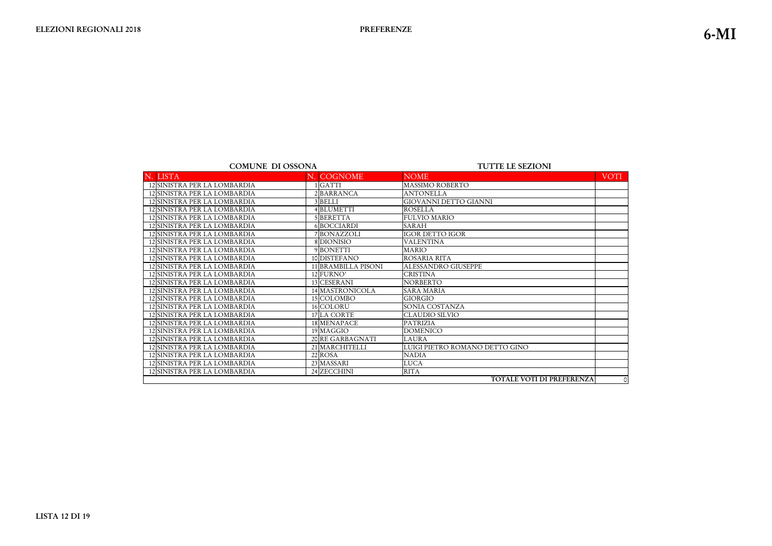| <b>COMUNE DI OSSONA</b>      |  | <b>TUTTE LE SEZIONI</b> |                                  |             |
|------------------------------|--|-------------------------|----------------------------------|-------------|
| N. LISTA                     |  | N. COGNOME              | <b>NOME</b>                      | <b>VOTI</b> |
| 12 SINISTRA PER LA LOMBARDIA |  | IGATTI                  | <b>MASSIMO ROBERTO</b>           |             |
| 12 SINISTRA PER LA LOMBARDIA |  | 2BARRANCA               | <b>ANTONELLA</b>                 |             |
| 12 SINISTRA PER LA LOMBARDIA |  | 3BELLI                  | <b>GIOVANNI DETTO GIANNI</b>     |             |
| 12 SINISTRA PER LA LOMBARDIA |  | 4 BLUMETTI              | <b>ROSELLA</b>                   |             |
| 12 SINISTRA PER LA LOMBARDIA |  | 5BERETTA                | <b>FULVIO MARIO</b>              |             |
| 12 SINISTRA PER LA LOMBARDIA |  | 6BOCCIARDI              | <b>SARAH</b>                     |             |
| 12 SINISTRA PER LA LOMBARDIA |  | 7 BONAZZOLI             | <b>IGOR DETTO IGOR</b>           |             |
| 12 SINISTRA PER LA LOMBARDIA |  | 8 DIONISIO              | <b>VALENTINA</b>                 |             |
| 12 SINISTRA PER LA LOMBARDIA |  | 9 BONETTI               | <b>MARIO</b>                     |             |
| 12 SINISTRA PER LA LOMBARDIA |  | 10 DISTEFANO            | ROSARIA RITA                     |             |
| 12 SINISTRA PER LA LOMBARDIA |  | 11 BRAMBILLA PISONI     | <b>ALESSANDRO GIUSEPPE</b>       |             |
| 12 SINISTRA PER LA LOMBARDIA |  | 12 FURNO'               | <b>CRISTINA</b>                  |             |
| 12 SINISTRA PER LA LOMBARDIA |  | 13 CESERANI             | <b>NORBERTO</b>                  |             |
| 12 SINISTRA PER LA LOMBARDIA |  | 14 MASTRONICOLA         | <b>SARA MARIA</b>                |             |
| 12 SINISTRA PER LA LOMBARDIA |  | 15 COLOMBO              | <b>GIORGIO</b>                   |             |
| 12 SINISTRA PER LA LOMBARDIA |  | 16 COLORU               | SONIA COSTANZA                   |             |
| 12 SINISTRA PER LA LOMBARDIA |  | 17 LA CORTE             | <b>CLAUDIO SILVIO</b>            |             |
| 12 SINISTRA PER LA LOMBARDIA |  | 18 MENAPACE             | <b>PATRIZIA</b>                  |             |
| 12 SINISTRA PER LA LOMBARDIA |  | 19 MAGGIO               | <b>DOMENICO</b>                  |             |
| 12 SINISTRA PER LA LOMBARDIA |  | 20 RE GARBAGNATI        | <b>LAURA</b>                     |             |
| 12 SINISTRA PER LA LOMBARDIA |  | 21 MARCHITELLI          | LUIGI PIETRO ROMANO DETTO GINO   |             |
| 12 SINISTRA PER LA LOMBARDIA |  | 22 ROSA                 | <b>NADIA</b>                     |             |
| 12 SINISTRA PER LA LOMBARDIA |  | 23 MASSARI              | <b>LUCA</b>                      |             |
| 12 SINISTRA PER LA LOMBARDIA |  | 24 ZECCHINI             | <b>RITA</b>                      |             |
|                              |  |                         | <b>TOTALE VOTI DI PREFERENZA</b> | $\circ$     |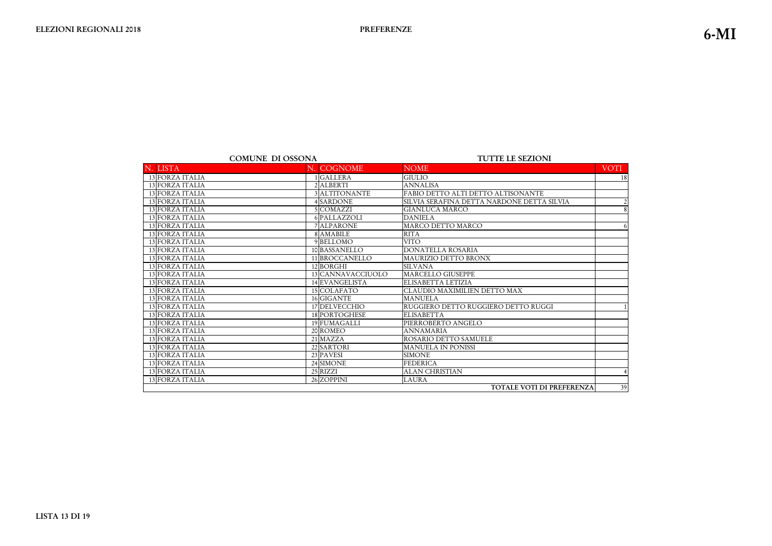|                        | <b>COMUNE DI OSSONA</b> | <b>TUTTE LE SEZIONI</b>                    |  |  |
|------------------------|-------------------------|--------------------------------------------|--|--|
| N. LISTA               | N. COGNOME              | <b>NOME</b>                                |  |  |
| 13 FORZA ITALIA        | 1 GALLERA               | <b>GIULIO</b>                              |  |  |
| 13 FORZA ITALIA        | 2 ALBERTI               | <b>ANNALISA</b>                            |  |  |
| 13 FORZA ITALIA        | 3 ALTITONANTE           | FABIO DETTO ALTI DETTO ALTISONANTE         |  |  |
| <b>13 FORZA ITALIA</b> | 4 SARDONE               | SILVIA SERAFINA DETTA NARDONE DETTA SILVIA |  |  |
| 13 FORZA ITALIA        | 5 COMAZZI               | <b>GIANLUCA MARCO</b>                      |  |  |
| 13 FORZA ITALIA        | 6 PALLAZZOLI            | <b>DANIELA</b>                             |  |  |
| <b>13 FORZA ITALIA</b> | 7 ALPARONE              | MARCO DETTO MARCO                          |  |  |
| 13 FORZA ITALIA        | 8 AMABILE               | <b>RITA</b>                                |  |  |
| 13 FORZA ITALIA        | 9 BELLOMO               | <b>VITO</b>                                |  |  |
| 13 FORZA ITALIA        | 10 BASSANELLO           | <b>DONATELLA ROSARIA</b>                   |  |  |
| 13 FORZA ITALIA        | 11 BROCCANELLO          | MAURIZIO DETTO BRONX                       |  |  |
| <b>13 FORZA ITALIA</b> | 12BORGHI                | <b>SILVANA</b>                             |  |  |
| 13 FORZA ITALIA        | 13 CANNAVACCIUOLO       | <b>MARCELLO GIUSEPPE</b>                   |  |  |
| 13 FORZA ITALIA        | 14 EVANGELISTA          | ELISABETTA LETIZIA                         |  |  |
| 13 FORZA ITALIA        | 15 COLAFATO             | <b>CLAUDIO MAXIMILIEN DETTO MAX</b>        |  |  |
| 13 FORZA ITALIA        | 16 GIGANTE              | <b>MANUELA</b>                             |  |  |
| 13 FORZA ITALIA        | 17 DELVECCHIO           | RUGGIERO DETTO RUGGIERO DETTO RUGGI        |  |  |
| 13 FORZA ITALIA        | 18 PORTOGHESE           | <b>ELISABETTA</b>                          |  |  |
| 13 FORZA ITALIA        | 19 FUMAGALLI            | PIERROBERTO ANGELO                         |  |  |
| 13 FORZA ITALIA        | 20 ROMEO                | <b>ANNAMARIA</b>                           |  |  |
| 13 FORZA ITALIA        | 21 MAZZA                | ROSARIO DETTO SAMUELE                      |  |  |
| 13 FORZA ITALIA        | 22 SARTORI              | <b>MANUELA IN PONISSI</b>                  |  |  |
| <b>13 FORZA ITALIA</b> | 23 PAVESI               | <b>SIMONE</b>                              |  |  |
| 13 FORZA ITALIA        | 24 SIMONE               | <b>FEDERICA</b>                            |  |  |
| 13 FORZA ITALIA        | 25 RIZZI                | <b>ALAN CHRISTIAN</b>                      |  |  |
| <b>13 FORZA ITALIA</b> | 26 ZOPPINI              | <b>LAURA</b>                               |  |  |

TOTALE VOTI DI PREFEREN.

|       | <b>VOTI</b>     |
|-------|-----------------|
|       | $\overline{18}$ |
|       |                 |
|       |                 |
|       |                 |
|       | $\frac{2}{8}$   |
|       |                 |
|       | $\overline{6}$  |
|       |                 |
|       |                 |
|       |                 |
|       |                 |
|       |                 |
|       |                 |
|       |                 |
|       |                 |
|       |                 |
|       | $\overline{1}$  |
|       |                 |
|       |                 |
|       |                 |
|       |                 |
|       |                 |
|       |                 |
|       |                 |
|       | $\overline{4}$  |
|       |                 |
| RENZA | 39              |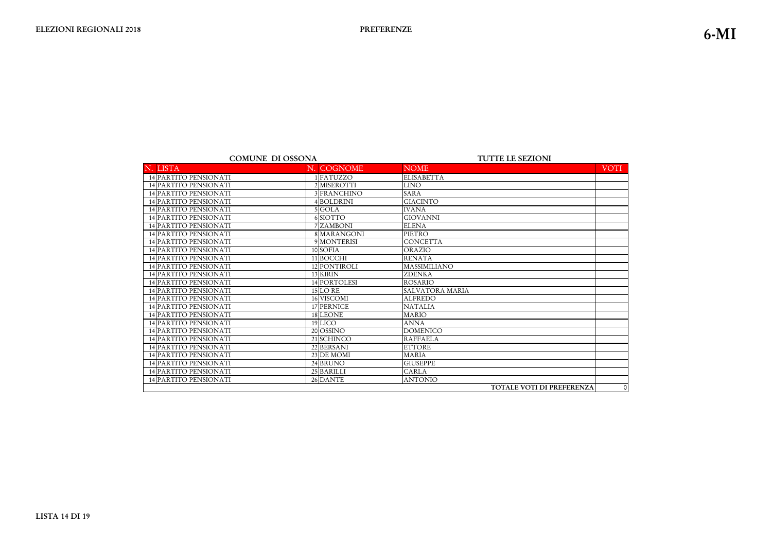|                              | <b>COMUNE DI OSSONA</b> | <b>TUTTE LE SEZIONI</b> |  |
|------------------------------|-------------------------|-------------------------|--|
| N. LISTA                     | N. COGNOME              | <b>NOME</b>             |  |
| 14 PARTITO PENSIONATI        | 1 FATUZZO               | <b>ELISABETTA</b>       |  |
| 14 PARTITO PENSIONATI        | 2 MISEROTTI             | <b>LINO</b>             |  |
| 14 PARTITO PENSIONATI        | 3 FRANCHINO             | <b>SARA</b>             |  |
| 14 PARTITO PENSIONATI        | 4BOLDRINI               | <b>GIACINTO</b>         |  |
| <b>14 PARTITO PENSIONATI</b> | 5 GOLA                  | <b>IVANA</b>            |  |
| 14 PARTITO PENSIONATI        | 6SIOTTO                 | <b>GIOVANNI</b>         |  |
| 14 PARTITO PENSIONATI        | 7 ZAMBONI               | <b>ELENA</b>            |  |
| 14 PARTITO PENSIONATI        | 8 MARANGONI             | PIETRO                  |  |
| 14 PARTITO PENSIONATI        | 9 MONTERISI             | <b>CONCETTA</b>         |  |
| 14 PARTITO PENSIONATI        | 10 SOFIA                | ORAZIO                  |  |
| 14 PARTITO PENSIONATI        | 11 BOCCHI               | <b>RENATA</b>           |  |
| 14 PARTITO PENSIONATI        | 12 PONTIROLI            | <b>MASSIMILIANO</b>     |  |
| 14 PARTITO PENSIONATI        | 13 KIRIN                | <b>ZDENKA</b>           |  |
| 14 PARTITO PENSIONATI        | 14 PORTOLESI            | <b>ROSARIO</b>          |  |
| 14 PARTITO PENSIONATI        | <b>15 LO RE</b>         | <b>SALVATORA MARIA</b>  |  |
| 14 PARTITO PENSIONATI        | 16 VISCOMI              | <b>ALFREDO</b>          |  |
| 14 PARTITO PENSIONATI        | 17 PERNICE              | <b>NATALIA</b>          |  |
| 14 PARTITO PENSIONATI        | 18 LEONE                | <b>MARIO</b>            |  |
| 14 PARTITO PENSIONATI        | 19 LICO                 | <b>ANNA</b>             |  |
| 14 PARTITO PENSIONATI        | 20 OSSINO               | <b>DOMENICO</b>         |  |
| 14 PARTITO PENSIONATI        | 21 SCHINCO              | <b>RAFFAELA</b>         |  |
| 14 PARTITO PENSIONATI        | 22 BERSANI              | <b>ETTORE</b>           |  |
| 14 PARTITO PENSIONATI        | 23 DE MOMI              | <b>MARIA</b>            |  |
| 14 PARTITO PENSIONATI        | 24 BRUNO                | <b>GIUSEPPE</b>         |  |
| 14 PARTITO PENSIONATI        | 25 BARILLI              | <b>CARLA</b>            |  |
| 14 PARTITO PENSIONATI        | 26 DANTE                | <b>ANTONIO</b>          |  |

**TOTALE VOTI DI PREFEREN** 

|       | VOTI |
|-------|------|
|       |      |
|       |      |
|       |      |
|       |      |
|       |      |
|       |      |
|       |      |
|       |      |
|       |      |
|       |      |
|       |      |
|       |      |
|       |      |
|       |      |
|       |      |
|       |      |
|       |      |
|       |      |
|       |      |
|       |      |
|       |      |
|       |      |
|       |      |
|       |      |
|       |      |
|       |      |
| RENZA | 0    |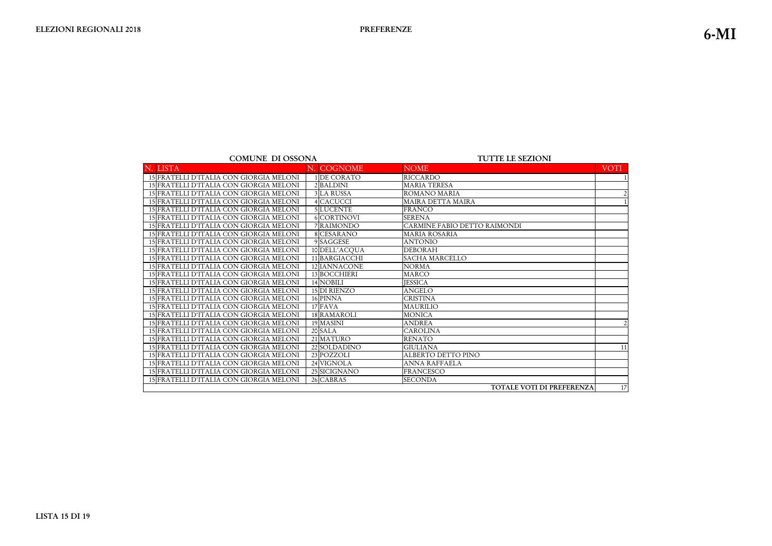#### TUTTE LE SEZIONI

| N. LISTA                                | N. COGNOME          | <b>NOME</b>                      | <b>VOTI</b>    |
|-----------------------------------------|---------------------|----------------------------------|----------------|
| 15 FRATELLI D'ITALIA CON GIORGIA MELONI | 1 DE CORATO         | <b>RICCARDO</b>                  |                |
| 15 FRATELLI D'ITALIA CON GIORGIA MELONI | 2BALDINI            | <b>MARIA TERESA</b>              |                |
| 15 FRATELLI D'ITALIA CON GIORGIA MELONI | <b>3 LA RUSSA</b>   | <b>ROMANO MARIA</b>              |                |
| 15 FRATELLI D'ITALIA CON GIORGIA MELONI | 4 CACUCCI           | <b>MAIRA DETTA MAIRA</b>         |                |
| 15 FRATELLI D'ITALIA CON GIORGIA MELONI | 5 LUCENTE           | <b>FRANCO</b>                    |                |
| 15 FRATELLI D'ITALIA CON GIORGIA MELONI | 6 CORTINOVI         | <b>SERENA</b>                    |                |
| 15 FRATELLI D'ITALIA CON GIORGIA MELONI | 7 RAIMONDO          | CARMINE FABIO DETTO RAIMONDI     |                |
| 15 FRATELLI D'ITALIA CON GIORGIA MELONI | 8 CESARANO          | <b>MARIA ROSARIA</b>             |                |
| 15 FRATELLI D'ITALIA CON GIORGIA MELONI | 9 SAGGESE           | <b>ANTONIO</b>                   |                |
| 15 FRATELLI D'ITALIA CON GIORGIA MELONI | 10 DELL'ACQUA       | <b>DEBORAH</b>                   |                |
| 15 FRATELLI D'ITALIA CON GIORGIA MELONI | 11 BARGIACCHI       | <b>SACHA MARCELLO</b>            |                |
| 15 FRATELLI D'ITALIA CON GIORGIA MELONI | 12 IANNACONE        | <b>NORMA</b>                     |                |
| 15 FRATELLI D'ITALIA CON GIORGIA MELONI | 13 BOCCHIERI        | <b>MARCO</b>                     |                |
| 15 FRATELLI D'ITALIA CON GIORGIA MELONI | 14 NOBILI           | <b>JESSICA</b>                   |                |
| 15 FRATELLI D'ITALIA CON GIORGIA MELONI | <b>15 DI RIENZO</b> | <b>ANGELO</b>                    |                |
| 15 FRATELLI D'ITALIA CON GIORGIA MELONI | 16 PINNA            | <b>CRISTINA</b>                  |                |
| 15 FRATELLI D'ITALIA CON GIORGIA MELONI | 17 FAVA             | <b>MAURILIO</b>                  |                |
| 15 FRATELLI D'ITALIA CON GIORGIA MELONI | 18 RAMAROLI         | <b>MONICA</b>                    |                |
| 15 FRATELLI D'ITALIA CON GIORGIA MELONI | 19 MASINI           | <b>ANDREA</b>                    | $\mathfrak{D}$ |
| 15 FRATELLI D'ITALIA CON GIORGIA MELONI | 20 SALA             | <b>CAROLINA</b>                  |                |
| 15 FRATELLI D'ITALIA CON GIORGIA MELONI | 21 MATURO           | <b>RENATO</b>                    |                |
| 15 FRATELLI D'ITALIA CON GIORGIA MELONI | 22 SOLDADINO        | <b>GIULIANA</b>                  | 11             |
| 15 FRATELLI D'ITALIA CON GIORGIA MELONI | 23 POZZOLI          | <b>ALBERTO DETTO PINO</b>        |                |
| 15 FRATELLI D'ITALIA CON GIORGIA MELONI | 24 VIGNOLA          | <b>ANNA RAFFAELA</b>             |                |
| 15 FRATELLI D'ITALIA CON GIORGIA MELONI | 25 SICIGNANO        | <b>FRANCESCO</b>                 |                |
| 15 FRATELLI D'ITALIA CON GIORGIA MELONI | 26 CABRAS           | <b>SECONDA</b>                   |                |
|                                         |                     | <b>TOTALE VOTI DI PREFERENZA</b> | 17             |

**LISTA 15 DI 19**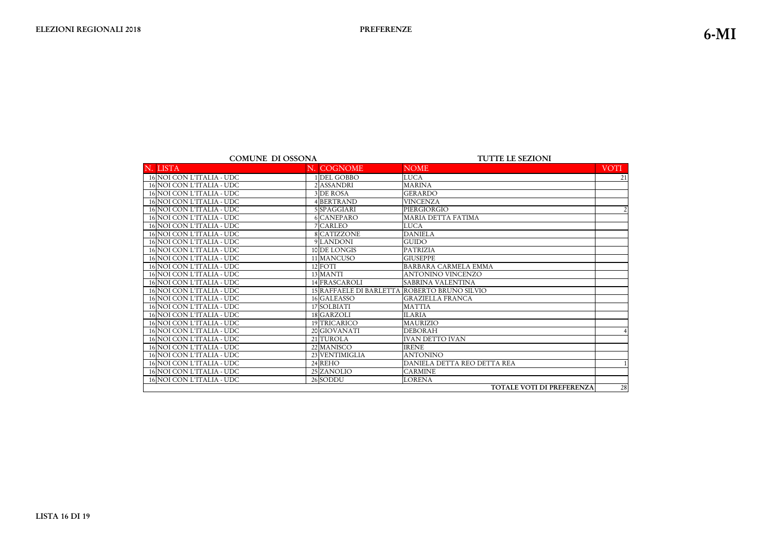| <b>COMUNE DI OSSONA</b> |  |
|-------------------------|--|
|-------------------------|--|

#### TUTTE LE SEZIONI

| N. LISTA                  | N. COGNOME     | <b>NOME</b>                                  | <b>VOTI</b>    |
|---------------------------|----------------|----------------------------------------------|----------------|
| 16 NOI CON L'ITALIA - UDC | 1DEL GOBBO     | <b>LUCA</b>                                  | 21             |
| 16 NOI CON L'ITALIA - UDC | 2ASSANDRI      | <b>MARINA</b>                                |                |
| 16 NOI CON L'ITALIA - UDC | 3 DE ROSA      | <b>GERARDO</b>                               |                |
| 16 NOI CON L'ITALIA - UDC | 4BERTRAND      | <b>VINCENZA</b>                              |                |
| 16 NOI CON L'ITALIA - UDC | 5 SPAGGIARI    | PIERGIORGIO                                  | $\overline{2}$ |
| 16 NOI CON L'ITALIA - UDC | 6 CANEPARO     | <b>MARIA DETTA FATIMA</b>                    |                |
| 16 NOI CON L'ITALIA - UDC | 7 CARLEO       | <b>LUCA</b>                                  |                |
| 16 NOI CON L'ITALIA - UDC | 8 CATIZZONE    | <b>DANIELA</b>                               |                |
| 16 NOI CON L'ITALIA - UDC | 9 LANDONI      | <b>GUIDO</b>                                 |                |
| 16 NOI CON L'ITALIA - UDC | 10 DE LONGIS   | <b>PATRIZIA</b>                              |                |
| 16 NOI CON L'ITALIA - UDC | 11 MANCUSO     | <b>GIUSEPPE</b>                              |                |
| 16 NOI CON L'ITALIA - UDC | 12 FOTI        | <b>BARBARA CARMELA EMMA</b>                  |                |
| 16 NOI CON L'ITALIA - UDC | 13 MANTI       | <b>ANTONINO VINCENZO</b>                     |                |
| 16 NOI CON L'ITALIA - UDC | 14 FRASCAROLI  | <b>SABRINA VALENTINA</b>                     |                |
| 16 NOI CON L'ITALIA - UDC |                | 15 RAFFAELE DI BARLETTA ROBERTO BRUNO SILVIO |                |
| 16 NOI CON L'ITALIA - UDC | 16 GALEASSO    | <b>GRAZIELLA FRANCA</b>                      |                |
| 16 NOI CON L'ITALIA - UDC | 17 SOLBIATI    | <b>MATTIA</b>                                |                |
| 16 NOI CON L'ITALIA - UDC | 18 GARZOLI     | <b>ILARIA</b>                                |                |
| 16 NOI CON L'ITALIA - UDC | 19 TRICARICO   | MAURIZIO                                     |                |
| 16 NOI CON L'ITALIA - UDC | 20 GIOVANATI   | <b>DEBORAH</b>                               | 4              |
| 16 NOI CON L'ITALIA - UDC | 21 TUROLA      | <b>IVAN DETTO IVAN</b>                       |                |
| 16 NOI CON L'ITALIA - UDC | 22 MANISCO     | <b>IRENE</b>                                 |                |
| 16 NOI CON L'ITALIA - UDC | 23 VENTIMIGLIA | <b>ANTONINO</b>                              |                |
| 16 NOI CON L'ITALIA - UDC | 24 REHO        | DANIELA DETTA REO DETTA REA                  |                |
| 16 NOI CON L'ITALIA - UDC | 25 ZANOLIO     | <b>CARMINE</b>                               |                |
| 16 NOI CON L'ITALIA - UDC | 26 SODDU       | <b>LORENA</b>                                |                |
|                           |                | <b>TOTALE VOTI DI PREFERENZA</b>             | 28             |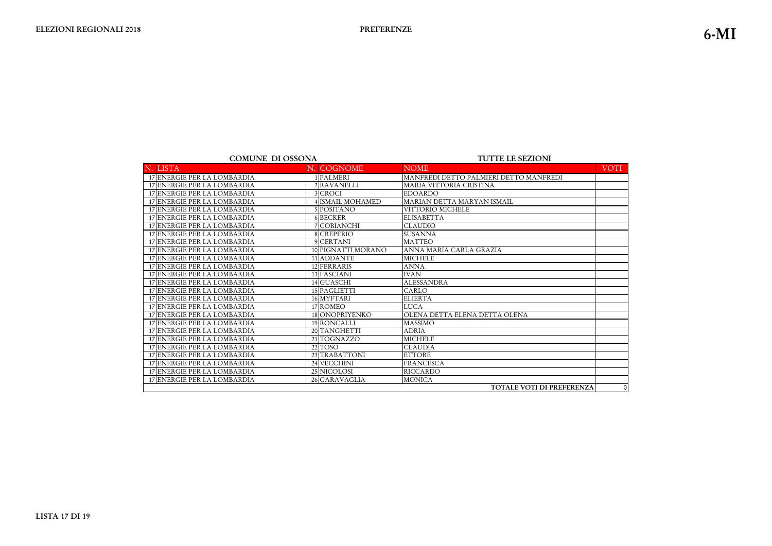|  | <b>COMUNE DI OSSONA</b> |
|--|-------------------------|
|--|-------------------------|

| <b>COMUNE DI OSSONA</b> |                             |  |                       | <b>TUTTE LE SEZIONI</b>                |             |  |
|-------------------------|-----------------------------|--|-----------------------|----------------------------------------|-------------|--|
|                         | N. LISTA                    |  | N. COGNOME            | <b>NOME</b>                            | <b>VOTI</b> |  |
|                         | 17 ENERGIE PER LA LOMBARDIA |  | 1 PALMERI             | MANFREDI DETTO PALMIERI DETTO MANFREDI |             |  |
|                         | 17 ENERGIE PER LA LOMBARDIA |  | 2 RAVANELLI           | MARIA VITTORIA CRISTINA                |             |  |
|                         | 17 ENERGIE PER LA LOMBARDIA |  | 3 CROCI               | <b>EDOARDO</b>                         |             |  |
|                         | 17 ENERGIE PER LA LOMBARDIA |  | <b>ISMAIL MOHAMED</b> | MARIAN DETTA MARYAN ISMAIL             |             |  |
|                         | 17 ENERGIE PER LA LOMBARDIA |  | 5 POSITANO            | VITTORIO MICHELE                       |             |  |
|                         | 17 ENERGIE PER LA LOMBARDIA |  | 6 BECKER              | <b>ELISABETTA</b>                      |             |  |
|                         | 17 ENERGIE PER LA LOMBARDIA |  | 7 COBIANCHI           | <b>CLAUDIO</b>                         |             |  |
|                         | 17 ENERGIE PER LA LOMBARDIA |  | 8 CREPERIO            | <b>SUSANNA</b>                         |             |  |
|                         | 17 ENERGIE PER LA LOMBARDIA |  | 9 CERTANI             | <b>MATTEO</b>                          |             |  |
|                         | 17 ENERGIE PER LA LOMBARDIA |  | 10 PIGNATTI MORANO    | ANNA MARIA CARLA GRAZIA                |             |  |
|                         | 17 ENERGIE PER LA LOMBARDIA |  | 11 ADDANTE            | <b>MICHELE</b>                         |             |  |
|                         | 17 ENERGIE PER LA LOMBARDIA |  | 12 FERRARIS           | <b>ANNA</b>                            |             |  |
|                         | 17 ENERGIE PER LA LOMBARDIA |  | 13 FASCIANI           | <b>IVAN</b>                            |             |  |
|                         | 17 ENERGIE PER LA LOMBARDIA |  | 14 GUASCHI            | <b>ALESSANDRA</b>                      |             |  |
|                         | 17 ENERGIE PER LA LOMBARDIA |  | 15 PAGLIETTI          | CARLO                                  |             |  |
|                         | 17 ENERGIE PER LA LOMBARDIA |  | 16 MYFTARI            | <b>ELIERTA</b>                         |             |  |
|                         | 17 ENERGIE PER LA LOMBARDIA |  | 17 ROMEO              | <b>LUCA</b>                            |             |  |
|                         | 17 ENERGIE PER LA LOMBARDIA |  | 18 ONOPRIYENKO        | OLENA DETTA ELENA DETTA OLENA          |             |  |
|                         | 17 ENERGIE PER LA LOMBARDIA |  | 19 RONCALLI           | <b>MASSIMO</b>                         |             |  |
|                         | 17 ENERGIE PER LA LOMBARDIA |  | 20 TANGHETTI          | <b>ADRIA</b>                           |             |  |
|                         | 17 ENERGIE PER LA LOMBARDIA |  | 21 TOGNAZZO           | <b>MICHELE</b>                         |             |  |
|                         | 17 ENERGIE PER LA LOMBARDIA |  | 22 TOSO               | <b>CLAUDIA</b>                         |             |  |
|                         | 17 ENERGIE PER LA LOMBARDIA |  | 23 TRABATTONI         | <b>ETTORE</b>                          |             |  |
|                         | 17 ENERGIE PER LA LOMBARDIA |  | 24 VECCHINI           | <b>FRANCESCA</b>                       |             |  |
|                         | 17 ENERGIE PER LA LOMBARDIA |  | 25 NICOLOSI           | <b>RICCARDO</b>                        |             |  |
|                         | 17 ENERGIE PER LA LOMBARDIA |  | 26 GARAVAGLIA         | <b>MONICA</b>                          |             |  |
|                         |                             |  |                       | <b>TOTALE VOTI DI PREFERENZA</b>       | $\circ$     |  |

**-ISTA 17 DI 19**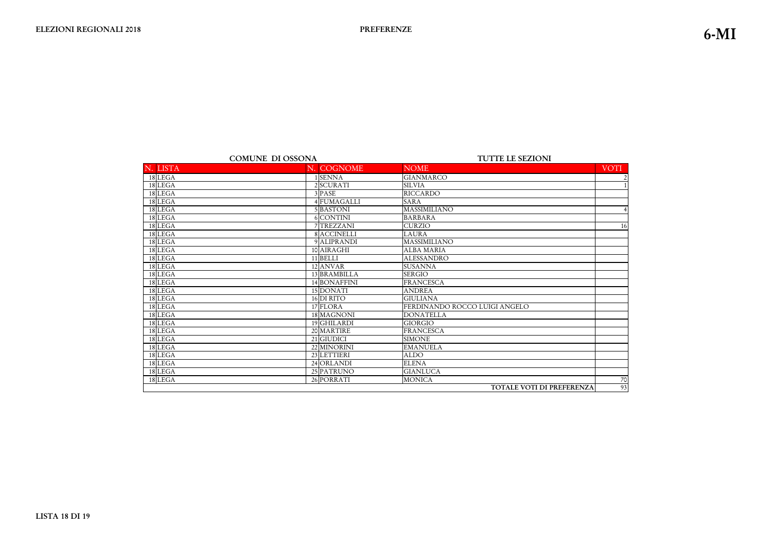|          | <b>COMUNE DI OSSONA</b> | <b>TUTTE LE SEZIONI</b>          |           |  |
|----------|-------------------------|----------------------------------|-----------|--|
| N. LISTA | N. COGNOME              | <b>NOME</b>                      | VOTI      |  |
| 18 LEGA  | 1 SENNA                 | <b>GIANMARCO</b>                 |           |  |
| 18 LEGA  | 2SCURATI                | <b>SILVIA</b>                    |           |  |
| 18 LEGA  | 3 PASE                  | <b>RICCARDO</b>                  |           |  |
| 18 LEGA  | 4 FUMAGALLI             | <b>SARA</b>                      |           |  |
| 18 LEGA  | 5 BASTONI               | <b>MASSIMILIANO</b>              |           |  |
| 18 LEGA  | 6 CONTINI               | <b>BARBARA</b>                   |           |  |
| 18 LEGA  | 7 TREZZANI              | <b>CURZIO</b>                    | 16        |  |
| 18 LEGA  | 8 ACCINELLI             | LAURA                            |           |  |
| 18 LEGA  | 9 ALIPRANDI             | <b>MASSIMILIANO</b>              |           |  |
| 18 LEGA  | 10 AIRAGHI              | <b>ALBA MARIA</b>                |           |  |
| 18 LEGA  | 11 BELLI                | <b>ALESSANDRO</b>                |           |  |
| 18 LEGA  | 12 ANVAR                | <b>SUSANNA</b>                   |           |  |
| 18 LEGA  | 13 BRAMBILLA            | <b>SERGIO</b>                    |           |  |
| 18 LEGA  | 14 BONAFFINI            | <b>FRANCESCA</b>                 |           |  |
| 18 LEGA  | 15 DONATI               | <b>ANDREA</b>                    |           |  |
| 18 LEGA  | $16$ DI RITO            | <b>GIULIANA</b>                  |           |  |
| 18 LEGA  | 17 FLORA                | FERDINANDO ROCCO LUIGI ANGELO    |           |  |
| 18 LEGA  | 18 MAGNONI              | <b>DONATELLA</b>                 |           |  |
| 18 LEGA  | 19 GHILARDI             | <b>GIORGIO</b>                   |           |  |
| 18 LEGA  | 20 MARTIRE              | <b>FRANCESCA</b>                 |           |  |
| 18 LEGA  | 21 GIUDICI              | <b>SIMONE</b>                    |           |  |
| 18 LEGA  | 22 MINORINI             | <b>EMANUELA</b>                  |           |  |
| 18 LEGA  | 23 LETTIERI             | <b>ALDO</b>                      |           |  |
| 18 LEGA  | 24 ORLANDI              | <b>ELENA</b>                     |           |  |
| 18 LEGA  | 25 PATRUNO              | <b>GIANLUCA</b>                  |           |  |
| 18 LEGA  | 26 PORRATI              | <b>MONICA</b>                    | <b>70</b> |  |
|          |                         | <b>TOTALE VOTI DI PREFERENZA</b> | 93        |  |

| $\frac{2}{1}$<br>$\overline{\mathbf{r}}$<br>$\overline{16}$<br>IZ. | <b>VOTI</b> |
|--------------------------------------------------------------------|-------------|
|                                                                    |             |
|                                                                    |             |
|                                                                    |             |
|                                                                    |             |
|                                                                    |             |
|                                                                    |             |
|                                                                    |             |
|                                                                    |             |
|                                                                    |             |
|                                                                    |             |
|                                                                    |             |
|                                                                    |             |
|                                                                    |             |
|                                                                    |             |
|                                                                    |             |
|                                                                    |             |
|                                                                    |             |
|                                                                    |             |
|                                                                    |             |
|                                                                    |             |
|                                                                    |             |
|                                                                    |             |
|                                                                    |             |
|                                                                    |             |
|                                                                    |             |
|                                                                    |             |
|                                                                    |             |